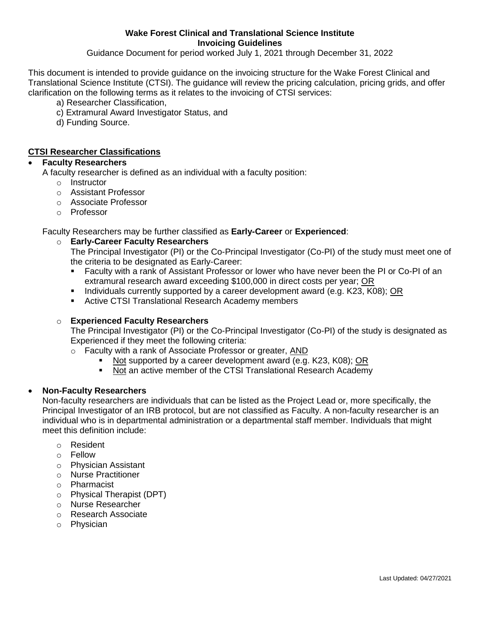**Wake Forest Clinical and Translational Science Institute Invoicing Guidelines**

Guidance Document for period worked July 1, 2021 through December 31, 2022

This document is intended to provide guidance on the invoicing structure for the Wake Forest Clinical and Translational Science Institute (CTSI). The guidance will review the pricing calculation, pricing grids, and offer clarification on the following terms as it relates to the invoicing of CTSI services:

- a) Researcher Classification,
- c) Extramural Award Investigator Status, and
- d) Funding Source.

## **CTSI Researcher Classifications**

#### **Faculty Researchers**

A faculty researcher is defined as an individual with a faculty position:

- o Instructor
- o Assistant Professor
- o Associate Professor
- o Professor

Faculty Researchers may be further classified as **Early-Career** or **Experienced**:

## o **Early-Career Faculty Researchers**

The Principal Investigator (PI) or the Co-Principal Investigator (Co-PI) of the study must meet one of the criteria to be designated as Early-Career:

- Faculty with a rank of Assistant Professor or lower who have never been the PI or Co-PI of an extramural research award exceeding \$100,000 in direct costs per year; OR
- Individuals currently supported by a career development award (e.g. K23, K08); OR
- **EXECTS:** Translational Research Academy members

#### o **Experienced Faculty Researchers**

The Principal Investigator (PI) or the Co-Principal Investigator (Co-PI) of the study is designated as Experienced if they meet the following criteria:

- o Faculty with a rank of Associate Professor or greater, AND
	- Not supported by a career development award (e.g. K23, K08); OR
	- Not an active member of the CTSI Translational Research Academy

#### **Non-Faculty Researchers**

Non-faculty researchers are individuals that can be listed as the Project Lead or, more specifically, the Principal Investigator of an IRB protocol, but are not classified as Faculty. A non-faculty researcher is an individual who is in departmental administration or a departmental staff member. Individuals that might meet this definition include:

- o Resident
- o Fellow
- o Physician Assistant
- o Nurse Practitioner
- o Pharmacist
- o Physical Therapist (DPT)
- o Nurse Researcher
- o Research Associate
- o Physician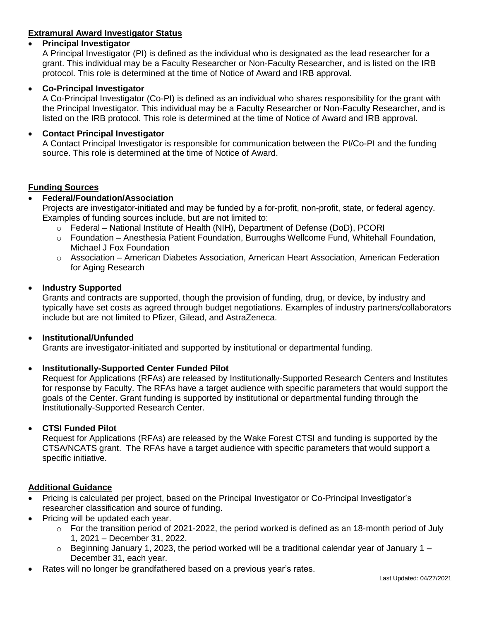# **Extramural Award Investigator Status**

## **Principal Investigator**

A Principal Investigator (PI) is defined as the individual who is designated as the lead researcher for a grant. This individual may be a Faculty Researcher or Non-Faculty Researcher, and is listed on the IRB protocol. This role is determined at the time of Notice of Award and IRB approval.

## **Co-Principal Investigator**

A Co-Principal Investigator (Co-PI) is defined as an individual who shares responsibility for the grant with the Principal Investigator. This individual may be a Faculty Researcher or Non-Faculty Researcher, and is listed on the IRB protocol. This role is determined at the time of Notice of Award and IRB approval.

## **Contact Principal Investigator**

A Contact Principal Investigator is responsible for communication between the PI/Co-PI and the funding source. This role is determined at the time of Notice of Award.

## **Funding Sources**

## **Federal/Foundation/Association**

Projects are investigator-initiated and may be funded by a for-profit, non-profit, state, or federal agency. Examples of funding sources include, but are not limited to:

- o Federal National Institute of Health (NIH), Department of Defense (DoD), PCORI
- o Foundation Anesthesia Patient Foundation, Burroughs Wellcome Fund, Whitehall Foundation, Michael J Fox Foundation
- o Association American Diabetes Association, American Heart Association, American Federation for Aging Research

## **Industry Supported**

Grants and contracts are supported, though the provision of funding, drug, or device, by industry and typically have set costs as agreed through budget negotiations. Examples of industry partners/collaborators include but are not limited to Pfizer, Gilead, and AstraZeneca.

#### **Institutional/Unfunded**

Grants are investigator-initiated and supported by institutional or departmental funding.

## **Institutionally-Supported Center Funded Pilot**

Request for Applications (RFAs) are released by Institutionally-Supported Research Centers and Institutes for response by Faculty. The RFAs have a target audience with specific parameters that would support the goals of the Center. Grant funding is supported by institutional or departmental funding through the Institutionally-Supported Research Center.

#### **CTSI Funded Pilot**

Request for Applications (RFAs) are released by the Wake Forest CTSI and funding is supported by the CTSA/NCATS grant. The RFAs have a target audience with specific parameters that would support a specific initiative.

## **Additional Guidance**

- Pricing is calculated per project, based on the Principal Investigator or Co-Principal Investigator's researcher classification and source of funding.
- Pricing will be updated each year.
	- $\circ$  For the transition period of 2021-2022, the period worked is defined as an 18-month period of July 1, 2021 – December 31, 2022.
	- $\circ$  Beginning January 1, 2023, the period worked will be a traditional calendar year of January 1 December 31, each year.
- Rates will no longer be grandfathered based on a previous year's rates.